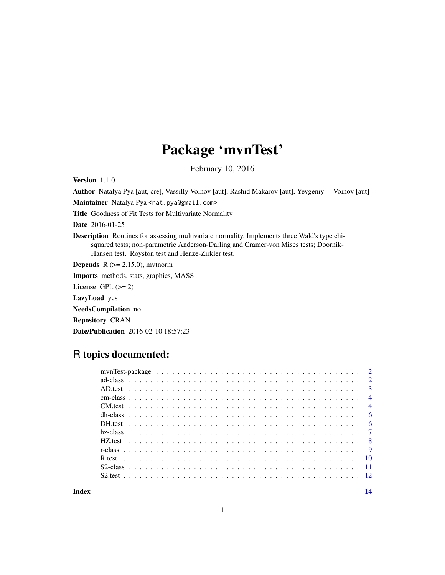## Package 'mvnTest'

February 10, 2016

Version 1.1-0

Author Natalya Pya [aut, cre], Vassilly Voinov [aut], Rashid Makarov [aut], Yevgeniy Voinov [aut] Maintainer Natalya Pya <nat.pya@gmail.com>

Title Goodness of Fit Tests for Multivariate Normality

Date 2016-01-25

Description Routines for assessing multivariate normality. Implements three Wald's type chisquared tests; non-parametric Anderson-Darling and Cramer-von Mises tests; Doornik-Hansen test, Royston test and Henze-Zirkler test.

**Depends**  $R$  ( $>= 2.15.0$ ), mythorm

Imports methods, stats, graphics, MASS

License GPL  $(>= 2)$ 

LazyLoad yes

NeedsCompilation no

Repository CRAN

Date/Publication 2016-02-10 18:57:23

### R topics documented:

| $\overline{4}$ |
|----------------|
|                |
|                |
|                |
|                |
|                |
|                |
|                |
|                |
|                |
|                |

**Index** 2008 **[14](#page-13-0)**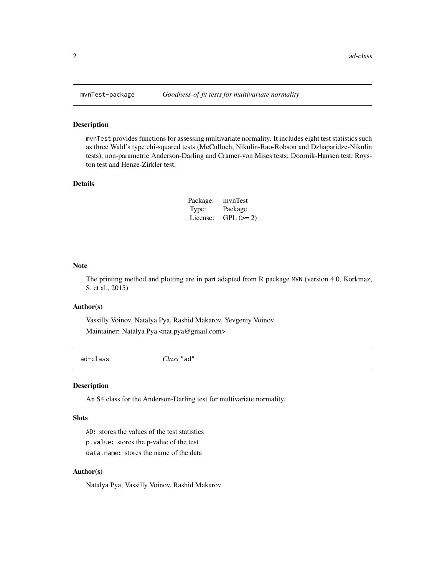mvnTest provides functions for assessing multivariate normality. It includes eight test statistics such as three Wald's type chi-squared tests (McCulloch, Nikulin-Rao-Robson and Dzhaparidze-Nikulin tests), non-parametric Anderson-Darling and Cramer-von Mises tests; Doornik-Hansen test, Royston test and Henze-Zirkler test.

#### Details

| Package: | mvnTest    |
|----------|------------|
| Type:    | Package    |
| License: | $GPL (=2)$ |

#### Note

The printing method and plotting are in part adapted from R package MVN (version 4.0, Korkmaz, S. et al., 2015)

#### Author(s)

Vassilly Voinov, Natalya Pya, Rashid Makarov, Yevgeniy Voinov Maintainer: Natalya Pya <nat.pya@gmail.com>

ad-class *Class* "ad"

#### Description

An S4 class for the Anderson-Darling test for multivariate normality.

#### Slots

AD: stores the values of the test statistics p.value: stores the p-value of the test data.name: stores the name of the data

#### Author(s)

Natalya Pya, Vassilly Voinov, Rashid Makarov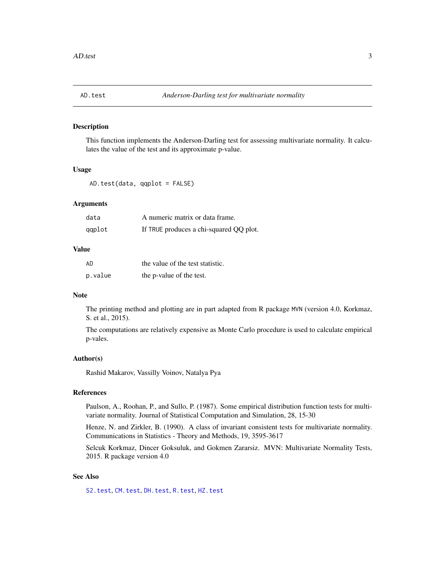<span id="page-2-1"></span><span id="page-2-0"></span>This function implements the Anderson-Darling test for assessing multivariate normality. It calculates the value of the test and its approximate p-value.

#### Usage

AD.test(data, qqplot = FALSE)

#### Arguments

| data   | A numeric matrix or data frame.         |
|--------|-----------------------------------------|
| qqplot | If TRUE produces a chi-squared QQ plot. |

#### Value

| AD      | the value of the test statistic. |
|---------|----------------------------------|
| p.value | the p-value of the test.         |

#### Note

The printing method and plotting are in part adapted from R package MVN (version 4.0, Korkmaz, S. et al., 2015).

The computations are relatively expensive as Monte Carlo procedure is used to calculate empirical p-vales.

#### Author(s)

Rashid Makarov, Vassilly Voinov, Natalya Pya

#### References

Paulson, A., Roohan, P., and Sullo, P. (1987). Some empirical distribution function tests for multivariate normality. Journal of Statistical Computation and Simulation, 28, 15-30

Henze, N. and Zirkler, B. (1990). A class of invariant consistent tests for multivariate normality. Communications in Statistics - Theory and Methods, 19, 3595-3617

Selcuk Korkmaz, Dincer Goksuluk, and Gokmen Zararsiz. MVN: Multivariate Normality Tests, 2015. R package version 4.0

#### See Also

[S2.test](#page-11-1), [CM.test](#page-3-1), [DH.test](#page-5-1), [R.test](#page-9-1), [HZ.test](#page-7-1)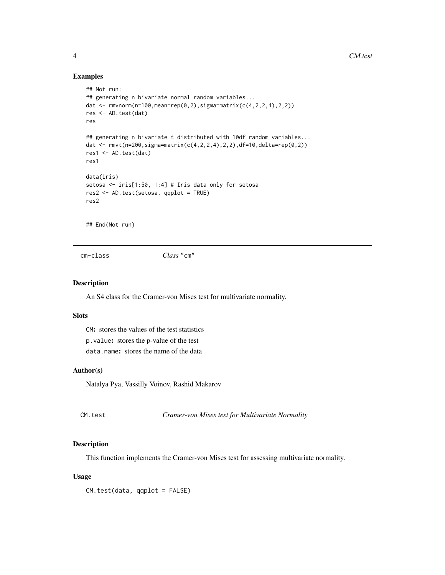#### Examples

```
## Not run:
## generating n bivariate normal random variables...
dat <- rmorm(n=100,mean=rep(0, 2), sigma=matrix(c(4, 2, 2, 4), 2, 2))res <- AD.test(dat)
res
## generating n bivariate t distributed with 10df random variables...
dat <- rmvt(n=200,sigma=matrix(c(4,2,2,4),2,2),df=10,delta=rep(0,2))
res1 <- AD.test(dat)
res1
data(iris)
setosa <- iris[1:50, 1:4] # Iris data only for setosa
res2 <- AD.test(setosa, qqplot = TRUE)
res2
```
## End(Not run)

cm-class *Class* "cm"

#### Description

An S4 class for the Cramer-von Mises test for multivariate normality.

#### Slots

CM: stores the values of the test statistics p.value: stores the p-value of the test data.name: stores the name of the data

#### Author(s)

Natalya Pya, Vassilly Voinov, Rashid Makarov

<span id="page-3-1"></span>CM.test *Cramer-von Mises test for Multivariate Normality*

#### Description

This function implements the Cramer-von Mises test for assessing multivariate normality.

#### Usage

CM.test(data, qqplot = FALSE)

<span id="page-3-0"></span>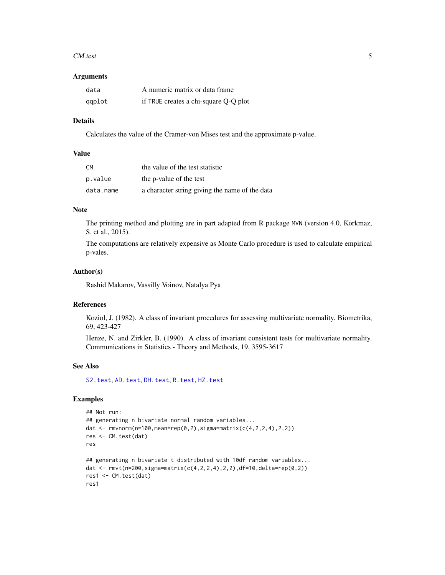#### <span id="page-4-0"></span>CM.test 5

#### Arguments

| data   | A numeric matrix or data frame        |
|--------|---------------------------------------|
| qqplot | if TRUE creates a chi-square Q-Q plot |

#### Details

Calculates the value of the Cramer-von Mises test and the approximate p-value.

#### Value

| CM.       | the value of the test statistic                |
|-----------|------------------------------------------------|
| p.value   | the p-value of the test                        |
| data.name | a character string giving the name of the data |

#### **Note**

The printing method and plotting are in part adapted from R package MVN (version 4.0, Korkmaz, S. et al., 2015).

The computations are relatively expensive as Monte Carlo procedure is used to calculate empirical p-vales.

#### Author(s)

Rashid Makarov, Vassilly Voinov, Natalya Pya

#### References

Koziol, J. (1982). A class of invariant procedures for assessing multivariate normality. Biometrika, 69, 423-427

Henze, N. and Zirkler, B. (1990). A class of invariant consistent tests for multivariate normality. Communications in Statistics - Theory and Methods, 19, 3595-3617

#### See Also

[S2.test](#page-11-1), [AD.test](#page-2-1), [DH.test](#page-5-1), [R.test](#page-9-1), [HZ.test](#page-7-1)

#### Examples

```
## Not run:
## generating n bivariate normal random variables...
dat <- rmvnorm(n=100,mean=rep(0,2),sigma=matrix(c(4,2,2,4),2,2))
res <- CM.test(dat)
res
## generating n bivariate t distributed with 10df random variables...
dat <- rmvt(n=200,sigma=matrix(c(4,2,2,4),2,2),df=10,delta=rep(0,2))
res1 <- CM.test(dat)
res1
```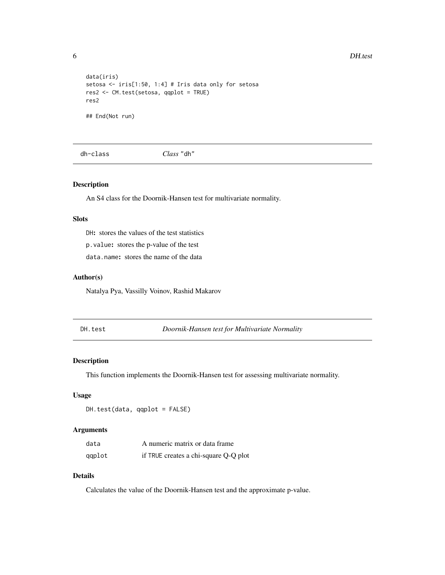#### <span id="page-5-0"></span>6 DH.test

```
data(iris)
setosa <- iris[1:50, 1:4] # Iris data only for setosa
res2 <- CM.test(setosa, qqplot = TRUE)
res2
## End(Not run)
```
dh-class *Class* "dh"

#### Description

An S4 class for the Doornik-Hansen test for multivariate normality.

#### **Slots**

DH: stores the values of the test statistics p.value: stores the p-value of the test

data.name: stores the name of the data

#### Author(s)

Natalya Pya, Vassilly Voinov, Rashid Makarov

<span id="page-5-1"></span>DH.test *Doornik-Hansen test for Multivariate Normality*

#### Description

This function implements the Doornik-Hansen test for assessing multivariate normality.

#### Usage

DH.test(data, qqplot = FALSE)

#### Arguments

| data   | A numeric matrix or data frame        |
|--------|---------------------------------------|
| qqplot | if TRUE creates a chi-square Q-Q plot |

#### Details

Calculates the value of the Doornik-Hansen test and the approximate p-value.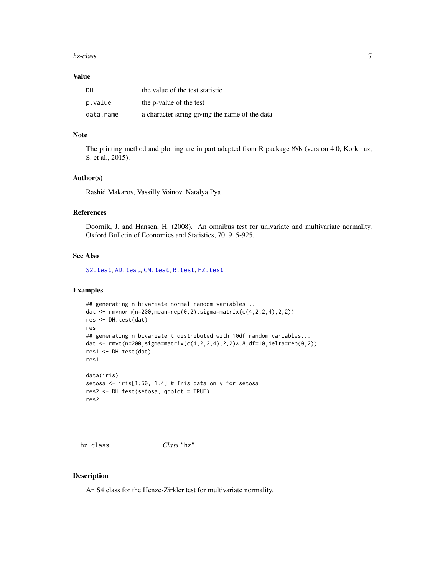#### <span id="page-6-0"></span>hz-class 7

#### Value

| DH        | the value of the test statistic                |
|-----------|------------------------------------------------|
| p.value   | the p-value of the test                        |
| data.name | a character string giving the name of the data |

#### Note

The printing method and plotting are in part adapted from R package MVN (version 4.0, Korkmaz, S. et al., 2015).

#### Author(s)

Rashid Makarov, Vassilly Voinov, Natalya Pya

#### References

Doornik, J. and Hansen, H. (2008). An omnibus test for univariate and multivariate normality. Oxford Bulletin of Economics and Statistics, 70, 915-925.

#### See Also

[S2.test](#page-11-1), [AD.test](#page-2-1), [CM.test](#page-3-1), [R.test](#page-9-1), [HZ.test](#page-7-1)

#### Examples

```
## generating n bivariate normal random variables...
dat <- rmvnorm(n=200,mean=rep(0,2),sigma=matrix(c(4,2,2,4),2,2))
res <- DH.test(dat)
res
## generating n bivariate t distributed with 10df random variables...
dat <- rmvt(n=200,sigma=matrix(c(4,2,2,4),2,2)*.8,df=10,delta=rep(0,2))
res1 <- DH.test(dat)
res1
data(iris)
setosa <- iris[1:50, 1:4] # Iris data only for setosa
res2 <- DH.test(setosa, qqplot = TRUE)
res2
```
hz-class *Class* "hz"

#### Description

An S4 class for the Henze-Zirkler test for multivariate normality.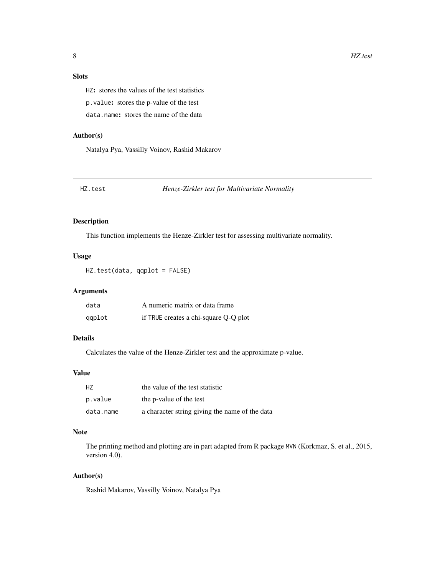#### <span id="page-7-0"></span>Slots

HZ: stores the values of the test statistics

p.value: stores the p-value of the test

data.name: stores the name of the data

#### Author(s)

Natalya Pya, Vassilly Voinov, Rashid Makarov

<span id="page-7-1"></span>HZ.test *Henze-Zirkler test for Multivariate Normality*

#### Description

This function implements the Henze-Zirkler test for assessing multivariate normality.

#### Usage

HZ.test(data, qqplot = FALSE)

#### Arguments

| data   | A numeric matrix or data frame        |
|--------|---------------------------------------|
| qqplot | if TRUE creates a chi-square Q-Q plot |

#### Details

Calculates the value of the Henze-Zirkler test and the approximate p-value.

#### Value

| H7        | the value of the test statistic                |
|-----------|------------------------------------------------|
| p.value   | the p-value of the test                        |
| data.name | a character string giving the name of the data |

#### Note

The printing method and plotting are in part adapted from R package MVN (Korkmaz, S. et al., 2015, version 4.0).

#### Author(s)

Rashid Makarov, Vassilly Voinov, Natalya Pya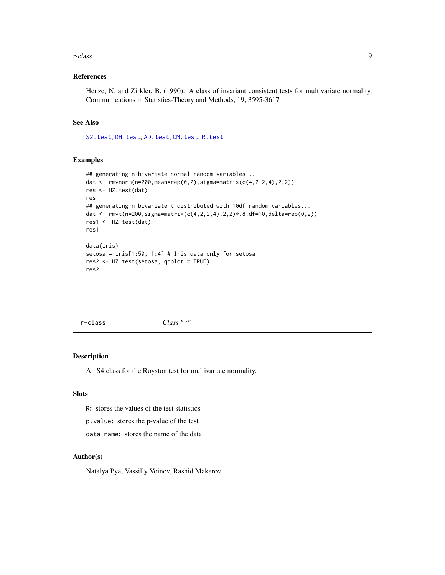#### <span id="page-8-0"></span>r-class 9

#### References

Henze, N. and Zirkler, B. (1990). A class of invariant consistent tests for multivariate normality. Communications in Statistics-Theory and Methods, 19, 3595-3617

#### See Also

[S2.test](#page-11-1), [DH.test](#page-5-1), [AD.test](#page-2-1), [CM.test](#page-3-1), [R.test](#page-9-1)

#### Examples

```
## generating n bivariate normal random variables...
dat <- rmvnorm(n=200,mean=rep(0,2),sigma=matrix(c(4,2,2,4),2,2))
res <- HZ.test(dat)
res
## generating n bivariate t distributed with 10df random variables...
dat <- rmvt(n=200,sigma=matrix(c(4,2,2,4),2,2)*.8,df=10,delta=rep(0,2))
res1 <- HZ.test(dat)
res1
data(iris)
setosa = iris[1:50, 1:4] # Iris data only for setosa
res2 <- HZ.test(setosa, qqplot = TRUE)
res2
```
r-class *Class* "r"

#### Description

An S4 class for the Royston test for multivariate normality.

#### **Slots**

R: stores the values of the test statistics

p.value: stores the p-value of the test

data.name: stores the name of the data

#### Author(s)

Natalya Pya, Vassilly Voinov, Rashid Makarov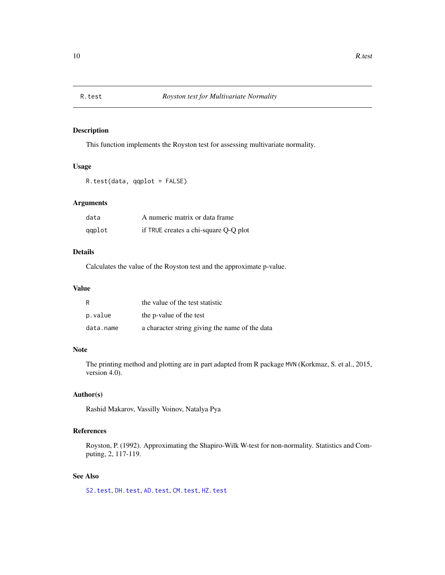<span id="page-9-1"></span><span id="page-9-0"></span>

This function implements the Royston test for assessing multivariate normality.

#### Usage

R.test(data, qqplot = FALSE)

#### Arguments

| data   | A numeric matrix or data frame        |
|--------|---------------------------------------|
| qqplot | if TRUE creates a chi-square Q-Q plot |

#### Details

Calculates the value of the Royston test and the approximate p-value.

#### Value

| R         | the value of the test statistic                |
|-----------|------------------------------------------------|
| p.value   | the p-value of the test                        |
| data.name | a character string giving the name of the data |

#### Note

The printing method and plotting are in part adapted from R package MVN (Korkmaz, S. et al., 2015, version 4.0).

#### Author(s)

Rashid Makarov, Vassilly Voinov, Natalya Pya

#### References

Royston, P. (1992). Approximating the Shapiro-Wilk W-test for non-normality. Statistics and Computing, 2, 117-119.

#### See Also

[S2.test](#page-11-1), [DH.test](#page-5-1), [AD.test](#page-2-1), [CM.test](#page-3-1), [HZ.test](#page-7-1)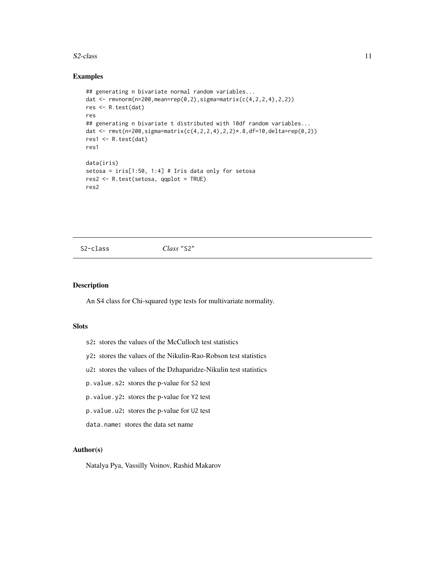#### <span id="page-10-0"></span> $S2$ -class  $11$

#### Examples

```
## generating n bivariate normal random variables...
dat <- rmvnorm(n=200,mean=rep(0,2),sigma=matrix(c(4,2,2,4),2,2))
res <- R.test(dat)
res
## generating n bivariate t distributed with 10df random variables...
dat <- rmvt(n=200,sigma=matrix(c(4,2,2,4),2,2)*.8,df=10,delta=rep(0,2))
res1 <- R.test(dat)
res1
data(iris)
setosa = iris[1:50, 1:4] # Iris data only for setosa
res2 <- R.test(setosa, qqplot = TRUE)
res2
```
S2-class *Class* "S2"

#### Description

An S4 class for Chi-squared type tests for multivariate normality.

#### Slots

- s2: stores the values of the McCulloch test statistics
- y2: stores the values of the Nikulin-Rao-Robson test statistics
- u2: stores the values of the Dzhaparidze-Nikulin test statistics
- p.value.s2: stores the p-value for S2 test
- p.value.y2: stores the p-value for Y2 test
- p.value.u2: stores the p-value for U2 test
- data.name: stores the data set name

#### Author(s)

Natalya Pya, Vassilly Voinov, Rashid Makarov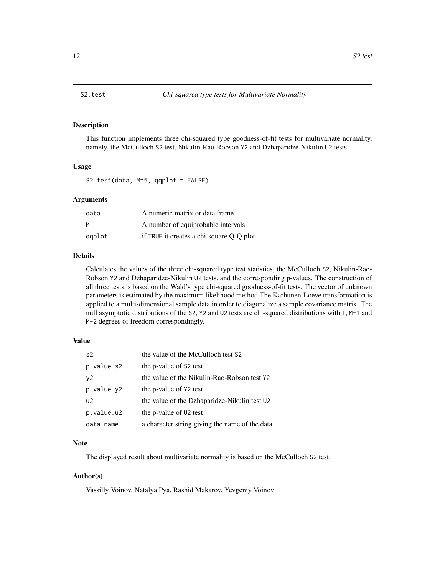<span id="page-11-1"></span><span id="page-11-0"></span>

This function implements three chi-squared type goodness-of-fit tests for multivariate normality, namely, the McCulloch S2 test, Nikulin-Rao-Robson Y2 and Dzhaparidze-Nikulin U2 tests.

#### Usage

S2.test(data, M=5, qqplot = FALSE)

#### Arguments

| data   | A numeric matrix or data frame           |
|--------|------------------------------------------|
| M      | A number of equiprobable intervals       |
| qaplot | if TRUE it creates a chi-square Q-Q plot |

#### Details

Calculates the values of the three chi-squared type test statistics, the McCulloch S2, Nikulin-Rao-Robson Y2 and Dzhaparidze-Nikulin U2 tests, and the corresponding p-values. The construction of all three tests is based on the Wald's type chi-squared goodness-of-fit tests. The vector of unknown parameters is estimated by the maximum likelihood method.The Karhunen-Loeve transformation is applied to a multi-dimensional sample data in order to diagonalize a sample covariance matrix. The null asymptotic distributions of the S2, Y2 and U2 tests are chi-squared distributions with 1, M-1 and M-2 degrees of freedom correspondingly.

#### Value

| s <sub>2</sub> | the value of the McCulloch test S2             |
|----------------|------------------------------------------------|
| p.value.s2     | the p-value of S2 test                         |
| v2             | the value of the Nikulin-Rao-Robson test Y2    |
| p.value.y2     | the p-value of Y2 test                         |
| U <sup>2</sup> | the value of the Dzhaparidze-Nikulin test U2   |
| p.value.u2     | the p-value of U2 test                         |
| data.name      | a character string giving the name of the data |

#### Note

The displayed result about multivariate normality is based on the McCulloch S2 test.

#### Author(s)

Vassilly Voinov, Natalya Pya, Rashid Makarov, Yevgeniy Voinov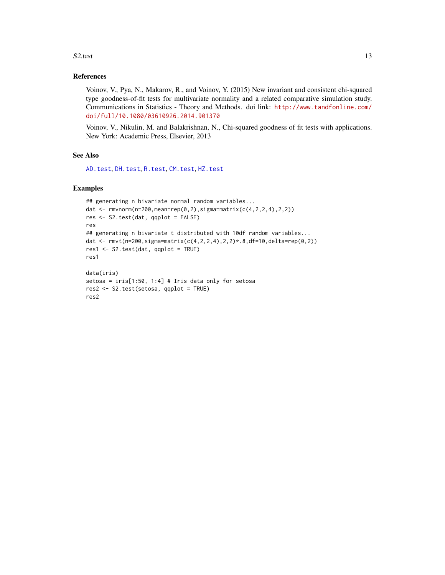#### <span id="page-12-0"></span> $S2.test$  13

#### References

Voinov, V., Pya, N., Makarov, R., and Voinov, Y. (2015) New invariant and consistent chi-squared type goodness-of-fit tests for multivariate normality and a related comparative simulation study. Communications in Statistics - Theory and Methods. doi link: [http://www.tandfonline.com/](http://www.tandfonline.com/doi/full/10.1080/03610926.2014.901370) [doi/full/10.1080/03610926.2014.901370](http://www.tandfonline.com/doi/full/10.1080/03610926.2014.901370)

Voinov, V., Nikulin, M. and Balakrishnan, N., Chi-squared goodness of fit tests with applications. New York: Academic Press, Elsevier, 2013

#### See Also

[AD.test](#page-2-1), [DH.test](#page-5-1), [R.test](#page-9-1), [CM.test](#page-3-1), [HZ.test](#page-7-1)

#### Examples

```
## generating n bivariate normal random variables...
dat <- rmvnorm(n=200,mean=rep(0,2),sigma=matrix(c(4,2,2,4),2,2))
res <- S2.test(dat, qqplot = FALSE)
res
## generating n bivariate t distributed with 10df random variables...
dat <- rmvt(n=200,sigma=matrix(c(4,2,2,4),2,2)*.8,df=10,delta=rep(0,2))
res1 <- S2.test(dat, qqplot = TRUE)
res1
data(iris)
setosa = iris[1:50, 1:4] # Iris data only for setosa
res2 <- S2.test(setosa, qqplot = TRUE)
res2
```